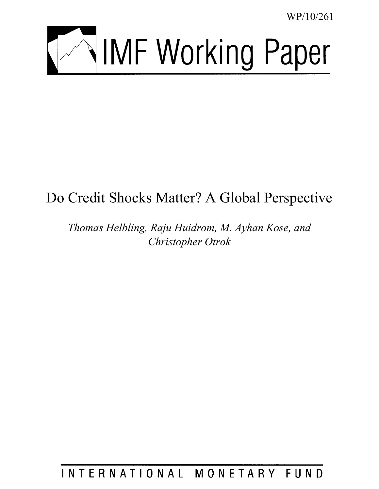WP/10/261



# Do Credit Shocks Matter? A Global Perspective

*Thomas Helbling, Raju Huidrom, M. Ayhan Kose, and Christopher Otrok* 

## INTERNATIONAL MONETARY FUND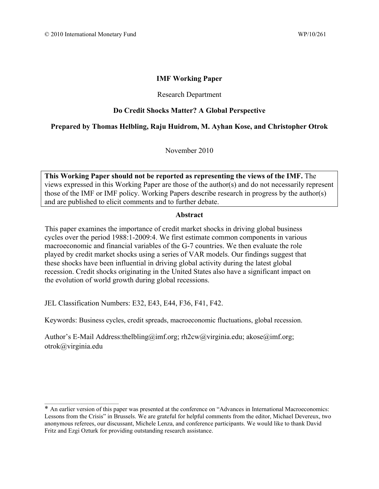#### **IMF Working Paper**

#### Research Department

#### **Do Credit Shocks Matter? A Global Perspective**

## **Prepared by Thomas Helbling, Raju Huidrom, M. Ayhan Kose, and Christopher Otrok**

November 2010

**This Working Paper should not be reported as representing the views of the IMF.** The views expressed in this Working Paper are those of the author(s) and do not necessarily represent those of the IMF or IMF policy. Working Papers describe research in progress by the author(s) and are published to elicit comments and to further debate.

#### **Abstract**

This paper examines the importance of credit market shocks in driving global business cycles over the period 1988:1-2009:4. We first estimate common components in various macroeconomic and financial variables of the G-7 countries. We then evaluate the role played by credit market shocks using a series of VAR models. Our findings suggest that these shocks have been influential in driving global activity during the latest global recession. Credit shocks originating in the United States also have a significant impact on the evolution of world growth during global recessions.

JEL Classification Numbers: E32, E43, E44, F36, F41, F42.

\_\_\_\_\_\_\_\_\_\_\_\_\_\_\_\_\_\_\_\_\_\_\_\_\_\_\_\_\_\_

Keywords: Business cycles, credit spreads, macroeconomic fluctuations, global recession.

Author's E-Mail Address:thelbling@imf.org; rh2cw@virginia.edu; akose@imf.org; otrok@virginia.edu

<sup>\*</sup> An earlier version of this paper was presented at the conference on "Advances in International Macroeconomics: Lessons from the Crisis" in Brussels. We are grateful for helpful comments from the editor, Michael Devereux, two anonymous referees, our discussant, Michele Lenza, and conference participants. We would like to thank David Fritz and Ezgi Ozturk for providing outstanding research assistance.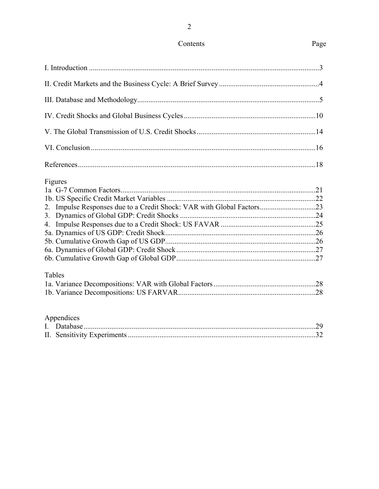| Figures<br>2. |  |
|---------------|--|
| Tables        |  |
| Appendices    |  |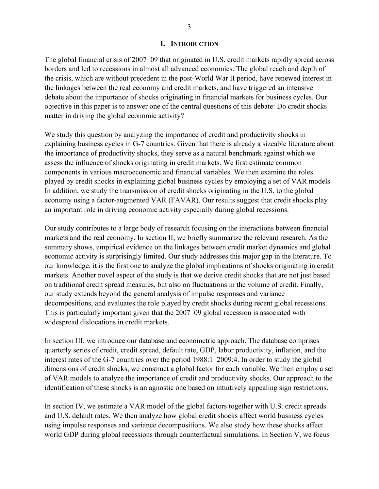#### **I. INTRODUCTION**

The global financial crisis of 2007–09 that originated in U.S. credit markets rapidly spread across borders and led to recessions in almost all advanced economies. The global reach and depth of the crisis, which are without precedent in the post-World War II period, have renewed interest in the linkages between the real economy and credit markets, and have triggered an intensive debate about the importance of shocks originating in financial markets for business cycles. Our objective in this paper is to answer one of the central questions of this debate: Do credit shocks matter in driving the global economic activity?

We study this question by analyzing the importance of credit and productivity shocks in explaining business cycles in G-7 countries. Given that there is already a sizeable literature about the importance of productivity shocks, they serve as a natural benchmark against which we assess the influence of shocks originating in credit markets. We first estimate common components in various macroeconomic and financial variables. We then examine the roles played by credit shocks in explaining global business cycles by employing a set of VAR models. In addition, we study the transmission of credit shocks originating in the U.S. to the global economy using a factor-augmented VAR (FAVAR). Our results suggest that credit shocks play an important role in driving economic activity especially during global recessions.

Our study contributes to a large body of research focusing on the interactions between financial markets and the real economy. In section II, we briefly summarize the relevant research. As the summary shows, empirical evidence on the linkages between credit market dynamics and global economic activity is surprisingly limited. Our study addresses this major gap in the literature. To our knowledge, it is the first one to analyze the global implications of shocks originating in credit markets. Another novel aspect of the study is that we derive credit shocks that are not just based on traditional credit spread measures, but also on fluctuations in the volume of credit. Finally, our study extends beyond the general analysis of impulse responses and variance decompositions, and evaluates the role played by credit shocks during recent global recessions. This is particularly important given that the 2007–09 global recession is associated with widespread dislocations in credit markets.

In section III, we introduce our database and econometric approach. The database comprises quarterly series of credit, credit spread, default rate, GDP, labor productivity, inflation, and the interest rates of the G-7 countries over the period 1988:1–2009:4. In order to study the global dimensions of credit shocks, we construct a global factor for each variable. We then employ a set of VAR models to analyze the importance of credit and productivity shocks. Our approach to the identification of these shocks is an agnostic one based on intuitively appealing sign restrictions.

In section IV, we estimate a VAR model of the global factors together with U.S. credit spreads and U.S. default rates. We then analyze how global credit shocks affect world business cycles using impulse responses and variance decompositions. We also study how these shocks affect world GDP during global recessions through counterfactual simulations. In Section V, we focus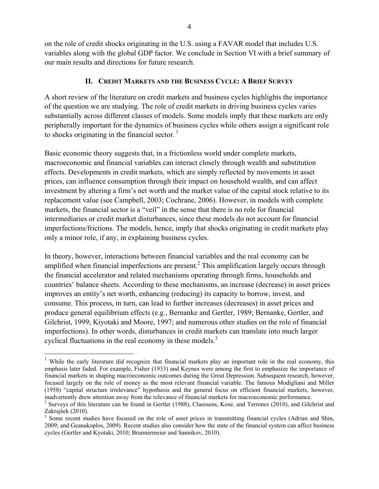on the role of credit shocks originating in the U.S. using a FAVAR model that includes U.S. variables along with the global GDP factor. We conclude in Section VI with a brief summary of our main results and directions for future research.

## **II. CREDIT MARKETS AND THE BUSINESS CYCLE: A BRIEF SURVEY**

A short review of the literature on credit markets and business cycles highlights the importance of the question we are studying. The role of credit markets in driving business cycles varies substantially across different classes of models. Some models imply that these markets are only peripherally important for the dynamics of business cycles while others assign a significant role to shocks originating in the financial sector.<sup>1</sup>

Basic economic theory suggests that, in a frictionless world under complete markets, macroeconomic and financial variables can interact closely through wealth and substitution effects. Developments in credit markets, which are simply reflected by movements in asset prices, can influence consumption through their impact on household wealth, and can affect investment by altering a firm's net worth and the market value of the capital stock relative to its replacement value (see Campbell, 2003; Cochrane, 2006). However, in models with complete markets, the financial sector is a "veil" in the sense that there is no role for financial intermediaries or credit market disturbances, since these models do not account for financial imperfections/frictions. The models, hence, imply that shocks originating in credit markets play only a minor role, if any, in explaining business cycles.

In theory, however, interactions between financial variables and the real economy can be amplified when financial imperfections are present.<sup>2</sup> This amplification largely occurs through the financial accelerator and related mechanisms operating through firms, households and countries' balance sheets. According to these mechanisms, an increase (decrease) in asset prices improves an entity's net worth, enhancing (reducing) its capacity to borrow, invest, and consume. This process, in turn, can lead to further increases (decreases) in asset prices and produce general equilibrium effects (e.g., Bernanke and Gertler, 1989; Bernanke, Gertler, and Gilchrist, 1999; Kiyotaki and Moore, 1997; and numerous other studies on the role of financial imperfections). In other words, disturbances in credit markets can translate into much larger cyclical fluctuations in the real economy in these models.<sup>3</sup>

 $\overline{a}$ 

<sup>&</sup>lt;sup>1</sup> While the early literature did recognize that financial markets play an important role in the real economy, this emphasis later faded. For example, Fisher (1933) and Keynes were among the first to emphasize the importance of financial markets in shaping macroeconomic outcomes during the Great Depression. Subsequent research, however, focused largely on the role of money as the most relevant financial variable. The famous Modigliani and Miller (1958) "capital structure irrelevance" hypothesis and the general focus on efficient financial markets, however, inadvertently drew attention away from the relevance of financial markets for macroeconomic performance. 2

<sup>&</sup>lt;sup>2</sup> Surveys of this literature can be found in Gertler (1988), Claessens, Kose, and Terrones (2010), and Gilchrist and Zakrajšek (2010).

<sup>&</sup>lt;sup>3</sup> Some recent studies have focused on the role of asset prices in transmitting financial cycles (Adrian and Shin, 2009; and Geanakoplos, 2009). Recent studies also consider how the state of the financial system can affect business cycles (Gertler and Kyotaki, 2010; Brunnermeier and Sannikov, 2010).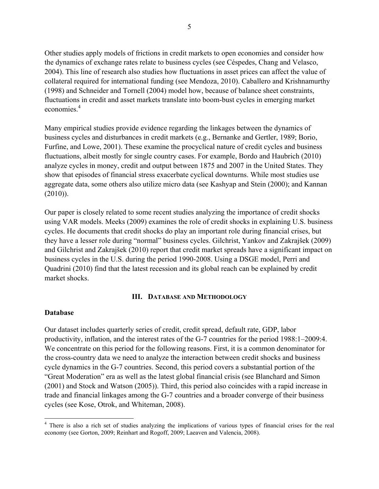Other studies apply models of frictions in credit markets to open economies and consider how the dynamics of exchange rates relate to business cycles (see Céspedes, Chang and Velasco, 2004). This line of research also studies how fluctuations in asset prices can affect the value of collateral required for international funding (see Mendoza, 2010). Caballero and Krishnamurthy (1998) and Schneider and Tornell (2004) model how, because of balance sheet constraints, fluctuations in credit and asset markets translate into boom-bust cycles in emerging market economies.<sup>4</sup>

Many empirical studies provide evidence regarding the linkages between the dynamics of business cycles and disturbances in credit markets (e.g., Bernanke and Gertler, 1989; Borio, Furfine, and Lowe, 2001). These examine the procyclical nature of credit cycles and business fluctuations, albeit mostly for single country cases. For example, Bordo and Haubrich (2010) analyze cycles in money, credit and output between 1875 and 2007 in the United States. They show that episodes of financial stress exacerbate cyclical downturns. While most studies use aggregate data, some others also utilize micro data (see Kashyap and Stein (2000); and Kannan  $(2010)$ ).

Our paper is closely related to some recent studies analyzing the importance of credit shocks using VAR models. Meeks (2009) examines the role of credit shocks in explaining U.S. business cycles. He documents that credit shocks do play an important role during financial crises, but they have a lesser role during "normal" business cycles. Gilchrist, Yankov and Zakrajšek (2009) and Gilchrist and Zakrajšek (2010) report that credit market spreads have a significant impact on business cycles in the U.S. during the period 1990-2008. Using a DSGE model, Perri and Quadrini (2010) find that the latest recession and its global reach can be explained by credit market shocks.

#### **III. DATABASE AND METHODOLOGY**

#### **Database**

 $\overline{a}$ 

Our dataset includes quarterly series of credit, credit spread, default rate, GDP, labor productivity, inflation, and the interest rates of the G-7 countries for the period 1988:1–2009:4. We concentrate on this period for the following reasons. First, it is a common denominator for the cross-country data we need to analyze the interaction between credit shocks and business cycle dynamics in the G-7 countries. Second, this period covers a substantial portion of the "Great Moderation" era as well as the latest global financial crisis (see Blanchard and Simon (2001) and Stock and Watson (2005)). Third, this period also coincides with a rapid increase in trade and financial linkages among the G-7 countries and a broader converge of their business cycles (see Kose, Otrok, and Whiteman, 2008).

<sup>&</sup>lt;sup>4</sup> There is also a rich set of studies analyzing the implications of various types of financial crises for the real economy (see Gorton, 2009; Reinhart and Rogoff, 2009; Laeaven and Valencia, 2008).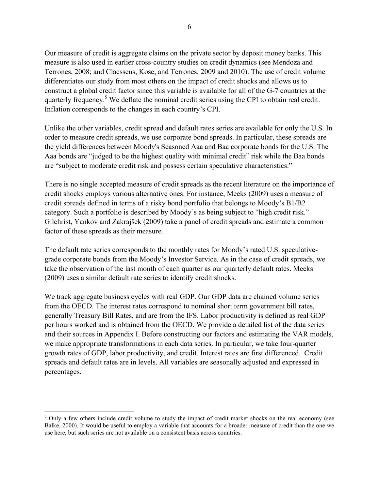Our measure of credit is aggregate claims on the private sector by deposit money banks. This measure is also used in earlier cross-country studies on credit dynamics (see Mendoza and Terrones, 2008; and Claessens, Kose, and Terrones, 2009 and 2010). The use of credit volume differentiates our study from most others on the impact of credit shocks and allows us to construct a global credit factor since this variable is available for all of the G-7 countries at the quarterly frequency.<sup>5</sup> We deflate the nominal credit series using the CPI to obtain real credit. Inflation corresponds to the changes in each country's CPI.

Unlike the other variables, credit spread and default rates series are available for only the U.S. In order to measure credit spreads, we use corporate bond spreads. In particular, these spreads are the yield differences between Moody's Seasoned Aaa and Baa corporate bonds for the U.S. The Aaa bonds are "judged to be the highest quality with minimal credit" risk while the Baa bonds are "subject to moderate credit risk and possess certain speculative characteristics."

There is no single accepted measure of credit spreads as the recent literature on the importance of credit shocks employs various alternative ones. For instance, Meeks (2009) uses a measure of credit spreads defined in terms of a risky bond portfolio that belongs to Moody's B1/B2 category. Such a portfolio is described by Moody's as being subject to "high credit risk." Gilchrist, Yankov and Zakrajšek (2009) take a panel of credit spreads and estimate a common factor of these spreads as their measure.

The default rate series corresponds to the monthly rates for Moody's rated U.S. speculativegrade corporate bonds from the Moody's Investor Service. As in the case of credit spreads, we take the observation of the last month of each quarter as our quarterly default rates. Meeks (2009) uses a similar default rate series to identify credit shocks.

We track aggregate business cycles with real GDP. Our GDP data are chained volume series from the OECD. The interest rates correspond to nominal short term government bill rates, generally Treasury Bill Rates, and are from the IFS. Labor productivity is defined as real GDP per hours worked and is obtained from the OECD. We provide a detailed list of the data series and their sources in Appendix I. Before constructing our factors and estimating the VAR models, we make appropriate transformations in each data series. In particular, we take four-quarter growth rates of GDP, labor productivity, and credit. Interest rates are first differenced. Credit spreads and default rates are in levels. All variables are seasonally adjusted and expressed in percentages.

 $\overline{a}$ 

 $5$  Only a few others include credit volume to study the impact of credit market shocks on the real economy (see Balke, 2000). It would be useful to employ a variable that accounts for a broader measure of credit than the one we use here, but such series are not available on a consistent basis across countries.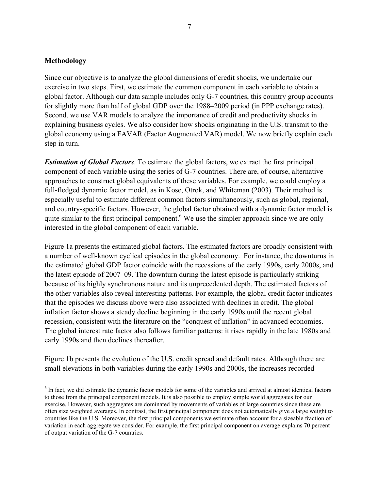#### **Methodology**

 $\overline{a}$ 

Since our objective is to analyze the global dimensions of credit shocks, we undertake our exercise in two steps. First, we estimate the common component in each variable to obtain a global factor. Although our data sample includes only G-7 countries, this country group accounts for slightly more than half of global GDP over the 1988–2009 period (in PPP exchange rates). Second, we use VAR models to analyze the importance of credit and productivity shocks in explaining business cycles. We also consider how shocks originating in the U.S. transmit to the global economy using a FAVAR (Factor Augmented VAR) model. We now briefly explain each step in turn.

*Estimation of Global Factors*. To estimate the global factors, we extract the first principal component of each variable using the series of G-7 countries. There are, of course, alternative approaches to construct global equivalents of these variables. For example, we could employ a full-fledged dynamic factor model, as in Kose, Otrok, and Whiteman (2003). Their method is especially useful to estimate different common factors simultaneously, such as global, regional, and country-specific factors. However, the global factor obtained with a dynamic factor model is quite similar to the first principal component.<sup>6</sup> We use the simpler approach since we are only interested in the global component of each variable.

Figure 1a presents the estimated global factors. The estimated factors are broadly consistent with a number of well-known cyclical episodes in the global economy. For instance, the downturns in the estimated global GDP factor coincide with the recessions of the early 1990s, early 2000s, and the latest episode of 2007–09. The downturn during the latest episode is particularly striking because of its highly synchronous nature and its unprecedented depth. The estimated factors of the other variables also reveal interesting patterns. For example, the global credit factor indicates that the episodes we discuss above were also associated with declines in credit. The global inflation factor shows a steady decline beginning in the early 1990s until the recent global recession, consistent with the literature on the "conquest of inflation" in advanced economies. The global interest rate factor also follows familiar patterns: it rises rapidly in the late 1980s and early 1990s and then declines thereafter.

Figure 1b presents the evolution of the U.S. credit spread and default rates. Although there are small elevations in both variables during the early 1990s and 2000s, the increases recorded

<sup>&</sup>lt;sup>6</sup> In fact, we did estimate the dynamic factor models for some of the variables and arrived at almost identical factors to those from the principal component models. It is also possible to employ simple world aggregates for our exercise. However, such aggregates are dominated by movements of variables of large countries since these are often size weighted averages. In contrast, the first principal component does not automatically give a large weight to countries like the U.S. Moreover, the first principal components we estimate often account for a sizeable fraction of variation in each aggregate we consider. For example, the first principal component on average explains 70 percent of output variation of the G-7 countries.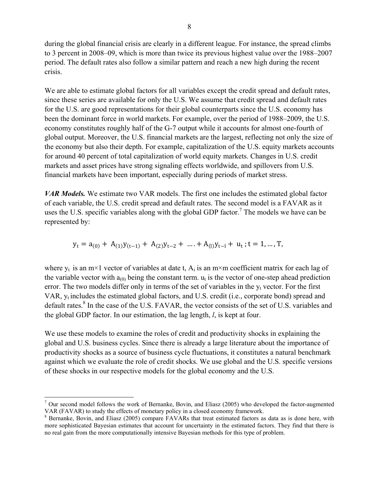during the global financial crisis are clearly in a different league. For instance, the spread climbs to 3 percent in 2008–09, which is more than twice its previous highest value over the 1988–2007 period. The default rates also follow a similar pattern and reach a new high during the recent crisis.

We are able to estimate global factors for all variables except the credit spread and default rates, since these series are available for only the U.S. We assume that credit spread and default rates for the U.S. are good representations for their global counterparts since the U.S. economy has been the dominant force in world markets. For example, over the period of 1988–2009, the U.S. economy constitutes roughly half of the G-7 output while it accounts for almost one-fourth of global output. Moreover, the U.S. financial markets are the largest, reflecting not only the size of the economy but also their depth. For example, capitalization of the U.S. equity markets accounts for around 40 percent of total capitalization of world equity markets. Changes in U.S. credit markets and asset prices have strong signaling effects worldwide, and spillovers from U.S. financial markets have been important, especially during periods of market stress.

*VAR Models.* We estimate two VAR models. The first one includes the estimated global factor of each variable, the U.S. credit spread and default rates. The second model is a FAVAR as it uses the U.S. specific variables along with the global GDP factor.<sup>7</sup> The models we have can be represented by:

$$
y_t = a_{(0)} + A_{(1)}y_{(t-1)} + A_{(2)}y_{t-2} + \dots + A_{(1)}y_{t-1} + u_t
$$
; t = 1, ..., T,

where  $y_t$  is an m×1 vector of variables at date t,  $A_i$  is an m×m coefficient matrix for each lag of the variable vector with  $a_{(0)}$  being the constant term.  $u_t$  is the vector of one-step ahead prediction error. The two models differ only in terms of the set of variables in the  $y_t$  vector. For the first VAR, yt includes the estimated global factors, and U.S. credit (i.e., corporate bond) spread and default rates.<sup>8</sup> In the case of the U.S. FAVAR, the vector consists of the set of U.S. variables and the global GDP factor. In our estimation, the lag length, *l*, is kept at four.

We use these models to examine the roles of credit and productivity shocks in explaining the global and U.S. business cycles. Since there is already a large literature about the importance of productivity shocks as a source of business cycle fluctuations, it constitutes a natural benchmark against which we evaluate the role of credit shocks. We use global and the U.S. specific versions of these shocks in our respective models for the global economy and the U.S.

 $\overline{a}$ 

 $7$  Our second model follows the work of Bernanke, Bovin, and Eliasz (2005) who developed the factor-augmented VAR (FAVAR) to study the effects of monetary policy in a closed economy framework.

<sup>&</sup>lt;sup>8</sup> Bernanke, Bovin, and Eliasz (2005) compare FAVARs that treat estimated factors as data as is done here, with more sophisticated Bayesian estimates that account for uncertainty in the estimated factors. They find that there is no real gain from the more computationally intensive Bayesian methods for this type of problem.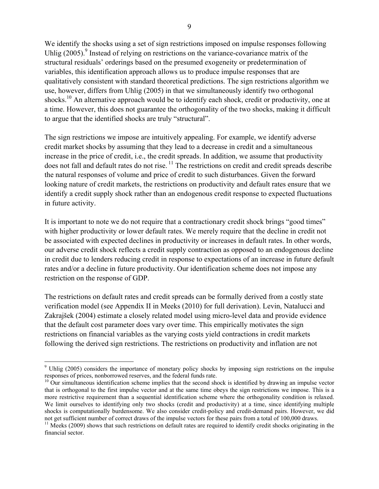We identify the shocks using a set of sign restrictions imposed on impulse responses following Uhlig  $(2005)$ .<sup>9</sup> Instead of relying on restrictions on the variance-covariance matrix of the structural residuals' orderings based on the presumed exogeneity or predetermination of variables, this identification approach allows us to produce impulse responses that are qualitatively consistent with standard theoretical predictions. The sign restrictions algorithm we use, however, differs from Uhlig (2005) in that we simultaneously identify two orthogonal shocks.<sup>10</sup> An alternative approach would be to identify each shock, credit or productivity, one at a time. However, this does not guarantee the orthogonality of the two shocks, making it difficult to argue that the identified shocks are truly "structural".

The sign restrictions we impose are intuitively appealing. For example, we identify adverse credit market shocks by assuming that they lead to a decrease in credit and a simultaneous increase in the price of credit, i.e., the credit spreads. In addition, we assume that productivity does not fall and default rates do not rise.<sup>11</sup> The restrictions on credit and credit spreads describe the natural responses of volume and price of credit to such disturbances. Given the forward looking nature of credit markets, the restrictions on productivity and default rates ensure that we identify a credit supply shock rather than an endogenous credit response to expected fluctuations in future activity.

It is important to note we do not require that a contractionary credit shock brings "good times" with higher productivity or lower default rates. We merely require that the decline in credit not be associated with expected declines in productivity or increases in default rates. In other words, our adverse credit shock reflects a credit supply contraction as opposed to an endogenous decline in credit due to lenders reducing credit in response to expectations of an increase in future default rates and/or a decline in future productivity. Our identification scheme does not impose any restriction on the response of GDP.

The restrictions on default rates and credit spreads can be formally derived from a costly state verification model (see Appendix II in Meeks (2010) for full derivation). Levin, Natalucci and Zakrajšek (2004) estimate a closely related model using micro-level data and provide evidence that the default cost parameter does vary over time. This empirically motivates the sign restrictions on financial variables as the varying costs yield contractions in credit markets following the derived sign restrictions. The restrictions on productivity and inflation are not

<sup>&</sup>lt;sup>9</sup> Uhlig (2005) considers the importance of monetary policy shocks by imposing sign restrictions on the impulse responses of prices, nonborrowed reserves, and the federal funds rate.

 $10$  Our simultaneous identification scheme implies that the second shock is identified by drawing an impulse vector that is orthogonal to the first impulse vector and at the same time obeys the sign restrictions we impose. This is a more restrictive requirement than a sequential identification scheme where the orthogonality condition is relaxed. We limit ourselves to identifying only two shocks (credit and productivity) at a time, since identifying multiple shocks is computationally burdensome. We also consider credit-policy and credit-demand pairs. However, we did not get sufficient number of correct draws of the impulse vectors for these pairs from a total of 100,000 draws.

 $11$  Meeks (2009) shows that such restrictions on default rates are required to identify credit shocks originating in the financial sector.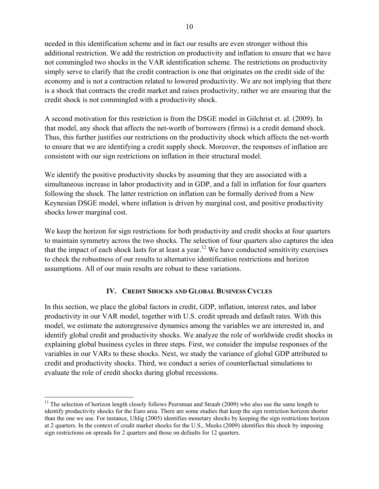needed in this identification scheme and in fact our results are even stronger without this additional restriction. We add the restriction on productivity and inflation to ensure that we have not commingled two shocks in the VAR identification scheme. The restrictions on productivity simply serve to clarify that the credit contraction is one that originates on the credit side of the economy and is not a contraction related to lowered productivity. We are not implying that there is a shock that contracts the credit market and raises productivity, rather we are ensuring that the credit shock is not commingled with a productivity shock.

A second motivation for this restriction is from the DSGE model in Gilchrist et. al. (2009). In that model, any shock that affects the net-worth of borrowers (firms) is a credit demand shock. Thus, this further justifies our restrictions on the productivity shock which affects the net-worth to ensure that we are identifying a credit supply shock. Moreover, the responses of inflation are consistent with our sign restrictions on inflation in their structural model.

We identify the positive productivity shocks by assuming that they are associated with a simultaneous increase in labor productivity and in GDP, and a fall in inflation for four quarters following the shock. The latter restriction on inflation can be formally derived from a New Keynesian DSGE model, where inflation is driven by marginal cost, and positive productivity shocks lower marginal cost.

We keep the horizon for sign restrictions for both productivity and credit shocks at four quarters to maintain symmetry across the two shocks. The selection of four quarters also captures the idea that the impact of each shock lasts for at least a year.<sup>12</sup> We have conducted sensitivity exercises to check the robustness of our results to alternative identification restrictions and horizon assumptions. All of our main results are robust to these variations.

## **IV. CREDIT SHOCKS AND GLOBAL BUSINESS CYCLES**

In this section, we place the global factors in credit, GDP, inflation, interest rates, and labor productivity in our VAR model, together with U.S. credit spreads and default rates. With this model, we estimate the autoregressive dynamics among the variables we are interested in, and identify global credit and productivity shocks. We analyze the role of worldwide credit shocks in explaining global business cycles in three steps. First, we consider the impulse responses of the variables in our VARs to these shocks. Next, we study the variance of global GDP attributed to credit and productivity shocks. Third, we conduct a series of counterfactual simulations to evaluate the role of credit shocks during global recessions.

1

 $12$  The selection of horizon length closely follows Peersman and Straub (2009) who also use the same length to identify productivity shocks for the Euro area. There are some studies that keep the sign restriction horizon shorter than the one we use. For instance, Uhlig (2005) identifies monetary shocks by keeping the sign restrictions horizon at 2 quarters. In the context of credit market shocks for the U.S., Meeks (2009) identifies this shock by imposing sign restrictions on spreads for 2 quarters and those on defaults for 12 quarters.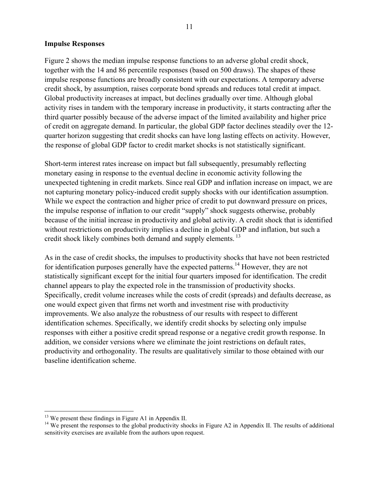#### **Impulse Responses**

Figure 2 shows the median impulse response functions to an adverse global credit shock, together with the 14 and 86 percentile responses (based on 500 draws). The shapes of these impulse response functions are broadly consistent with our expectations. A temporary adverse credit shock, by assumption, raises corporate bond spreads and reduces total credit at impact. Global productivity increases at impact, but declines gradually over time. Although global activity rises in tandem with the temporary increase in productivity, it starts contracting after the third quarter possibly because of the adverse impact of the limited availability and higher price of credit on aggregate demand. In particular, the global GDP factor declines steadily over the 12 quarter horizon suggesting that credit shocks can have long lasting effects on activity. However, the response of global GDP factor to credit market shocks is not statistically significant.

Short-term interest rates increase on impact but fall subsequently, presumably reflecting monetary easing in response to the eventual decline in economic activity following the unexpected tightening in credit markets. Since real GDP and inflation increase on impact, we are not capturing monetary policy-induced credit supply shocks with our identification assumption. While we expect the contraction and higher price of credit to put downward pressure on prices, the impulse response of inflation to our credit "supply" shock suggests otherwise, probably because of the initial increase in productivity and global activity. A credit shock that is identified without restrictions on productivity implies a decline in global GDP and inflation, but such a credit shock likely combines both demand and supply elements.<sup>13</sup>

As in the case of credit shocks, the impulses to productivity shocks that have not been restricted for identification purposes generally have the expected patterns.<sup>14</sup> However, they are not statistically significant except for the initial four quarters imposed for identification. The credit channel appears to play the expected role in the transmission of productivity shocks. Specifically, credit volume increases while the costs of credit (spreads) and defaults decrease, as one would expect given that firms net worth and investment rise with productivity improvements. We also analyze the robustness of our results with respect to different identification schemes. Specifically, we identify credit shocks by selecting only impulse responses with either a positive credit spread response or a negative credit growth response. In addition, we consider versions where we eliminate the joint restrictions on default rates, productivity and orthogonality. The results are qualitatively similar to those obtained with our baseline identification scheme.

 $\overline{a}$ 

 $13$  We present these findings in Figure A1 in Appendix II.

<sup>&</sup>lt;sup>14</sup> We present the responses to the global productivity shocks in Figure A2 in Appendix II. The results of additional sensitivity exercises are available from the authors upon request.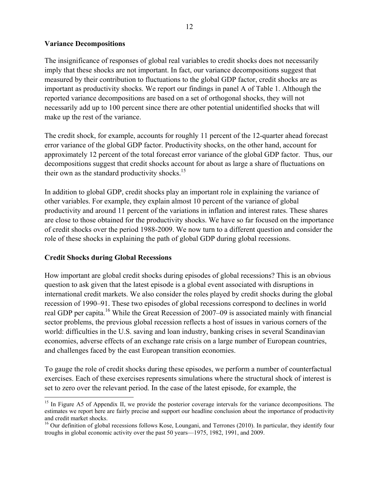## **Variance Decompositions**

The insignificance of responses of global real variables to credit shocks does not necessarily imply that these shocks are not important. In fact, our variance decompositions suggest that measured by their contribution to fluctuations to the global GDP factor, credit shocks are as important as productivity shocks. We report our findings in panel A of Table 1. Although the reported variance decompositions are based on a set of orthogonal shocks, they will not necessarily add up to 100 percent since there are other potential unidentified shocks that will make up the rest of the variance.

The credit shock, for example, accounts for roughly 11 percent of the 12-quarter ahead forecast error variance of the global GDP factor. Productivity shocks, on the other hand, account for approximately 12 percent of the total forecast error variance of the global GDP factor. Thus, our decompositions suggest that credit shocks account for about as large a share of fluctuations on their own as the standard productivity shocks. $15$ 

In addition to global GDP, credit shocks play an important role in explaining the variance of other variables. For example, they explain almost 10 percent of the variance of global productivity and around 11 percent of the variations in inflation and interest rates. These shares are close to those obtained for the productivity shocks. We have so far focused on the importance of credit shocks over the period 1988-2009. We now turn to a different question and consider the role of these shocks in explaining the path of global GDP during global recessions.

## **Credit Shocks during Global Recessions**

 $\overline{a}$ 

How important are global credit shocks during episodes of global recessions? This is an obvious question to ask given that the latest episode is a global event associated with disruptions in international credit markets. We also consider the roles played by credit shocks during the global recession of 1990–91. These two episodes of global recessions correspond to declines in world real GDP per capita.<sup>16</sup> While the Great Recession of 2007–09 is associated mainly with financial sector problems, the previous global recession reflects a host of issues in various corners of the world: difficulties in the U.S. saving and loan industry, banking crises in several Scandinavian economies, adverse effects of an exchange rate crisis on a large number of European countries, and challenges faced by the east European transition economies.

To gauge the role of credit shocks during these episodes, we perform a number of counterfactual exercises. Each of these exercises represents simulations where the structural shock of interest is set to zero over the relevant period. In the case of the latest episode, for example, the

<sup>&</sup>lt;sup>15</sup> In Figure A5 of Appendix II, we provide the posterior coverage intervals for the variance decompositions. The estimates we report here are fairly precise and support our headline conclusion about the importance of productivity and credit market shocks.

<sup>&</sup>lt;sup>16</sup> Our definition of global recessions follows Kose, Loungani, and Terrones (2010). In particular, they identify four troughs in global economic activity over the past 50 years—1975, 1982, 1991, and 2009.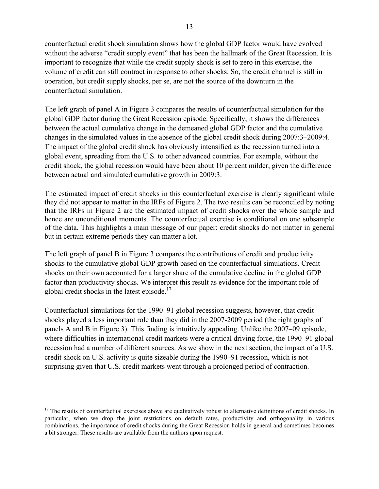counterfactual credit shock simulation shows how the global GDP factor would have evolved without the adverse "credit supply event" that has been the hallmark of the Great Recession. It is important to recognize that while the credit supply shock is set to zero in this exercise, the volume of credit can still contract in response to other shocks. So, the credit channel is still in operation, but credit supply shocks, per se, are not the source of the downturn in the counterfactual simulation.

The left graph of panel A in Figure 3 compares the results of counterfactual simulation for the global GDP factor during the Great Recession episode. Specifically, it shows the differences between the actual cumulative change in the demeaned global GDP factor and the cumulative changes in the simulated values in the absence of the global credit shock during 2007:3–2009:4. The impact of the global credit shock has obviously intensified as the recession turned into a global event, spreading from the U.S. to other advanced countries. For example, without the credit shock, the global recession would have been about 10 percent milder, given the difference between actual and simulated cumulative growth in 2009:3.

The estimated impact of credit shocks in this counterfactual exercise is clearly significant while they did not appear to matter in the IRFs of Figure 2. The two results can be reconciled by noting that the IRFs in Figure 2 are the estimated impact of credit shocks over the whole sample and hence are unconditional moments. The counterfactual exercise is conditional on one subsample of the data. This highlights a main message of our paper: credit shocks do not matter in general but in certain extreme periods they can matter a lot.

The left graph of panel B in Figure 3 compares the contributions of credit and productivity shocks to the cumulative global GDP growth based on the counterfactual simulations. Credit shocks on their own accounted for a larger share of the cumulative decline in the global GDP factor than productivity shocks. We interpret this result as evidence for the important role of global credit shocks in the latest episode.<sup>17</sup>

Counterfactual simulations for the 1990–91 global recession suggests, however, that credit shocks played a less important role than they did in the 2007-2009 period (the right graphs of panels A and B in Figure 3). This finding is intuitively appealing. Unlike the 2007–09 episode, where difficulties in international credit markets were a critical driving force, the 1990–91 global recession had a number of different sources. As we show in the next section, the impact of a U.S. credit shock on U.S. activity is quite sizeable during the 1990–91 recession, which is not surprising given that U.S. credit markets went through a prolonged period of contraction.

 $\overline{a}$  $17$  The results of counterfactual exercises above are qualitatively robust to alternative definitions of credit shocks. In particular, when we drop the joint restrictions on default rates, productivity and orthogonality in various combinations, the importance of credit shocks during the Great Recession holds in general and sometimes becomes a bit stronger. These results are available from the authors upon request.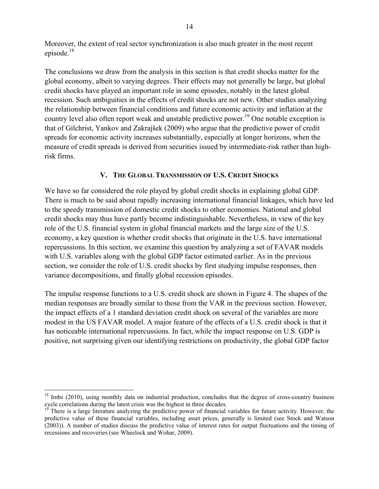Moreover, the extent of real sector synchronization is also much greater in the most recent episode.18

The conclusions we draw from the analysis in this section is that credit shocks matter for the global economy, albeit to varying degrees. Their effects may not generally be large, but global credit shocks have played an important role in some episodes, notably in the latest global recession. Such ambiguities in the effects of credit shocks are not new. Other studies analyzing the relationship between financial conditions and future economic activity and inflation at the country level also often report weak and unstable predictive power.<sup>19</sup> One notable exception is that of Gilchrist, Yankov and Zakrajšek (2009) who argue that the predictive power of credit spreads for economic activity increases substantially, especially at longer horizons, when the measure of credit spreads is derived from securities issued by intermediate-risk rather than highrisk firms.

### **V. THE GLOBAL TRANSMISSION OF U.S. CREDIT SHOCKS**

We have so far considered the role played by global credit shocks in explaining global GDP. There is much to be said about rapidly increasing international financial linkages, which have led to the speedy transmission of domestic credit shocks to other economies. National and global credit shocks may thus have partly become indistinguishable. Nevertheless, in view of the key role of the U.S. financial system in global financial markets and the large size of the U.S. economy, a key question is whether credit shocks that originate in the U.S. have international repercussions. In this section, we examine this question by analyzing a set of FAVAR models with U.S. variables along with the global GDP factor estimated earlier. As in the previous section, we consider the role of U.S. credit shocks by first studying impulse responses, then variance decompositions, and finally global recession episodes.

The impulse response functions to a U.S. credit shock are shown in Figure 4. The shapes of the median responses are broadly similar to those from the VAR in the previous section. However, the impact effects of a 1 standard deviation credit shock on several of the variables are more modest in the US FAVAR model. A major feature of the effects of a U.S. credit shock is that it has noticeable international repercussions. In fact, while the impact response on U.S. GDP is positive, not surprising given our identifying restrictions on productivity, the global GDP factor

 $\overline{a}$ 

<sup>&</sup>lt;sup>18</sup> Imbs (2010), using monthly data on industrial production, concludes that the degree of cross-country business cycle correlations during the latest crisis was the highest in three decades.

There is a large literature analyzing the predictive power of financial variables for future activity. However, the predictive value of these financial variables, including asset prices, generally is limited (see Stock and Watson (2003)). A number of studies discuss the predictive value of interest rates for output fluctuations and the timing of recessions and recoveries (see Wheelock and Wohar, 2009).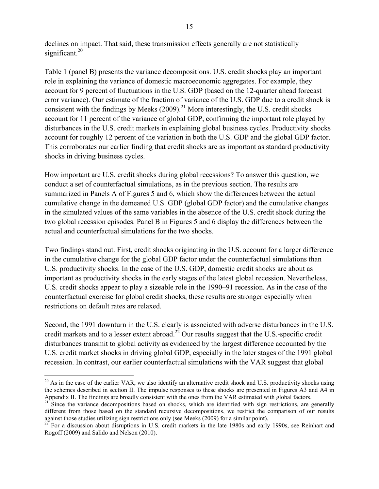declines on impact. That said, these transmission effects generally are not statistically significant.<sup>20</sup>

Table 1 (panel B) presents the variance decompositions. U.S. credit shocks play an important role in explaining the variance of domestic macroeconomic aggregates. For example, they account for 9 percent of fluctuations in the U.S. GDP (based on the 12-quarter ahead forecast error variance). Our estimate of the fraction of variance of the U.S. GDP due to a credit shock is consistent with the findings by Meeks  $(2009)^{21}$  More interestingly, the U.S. credit shocks account for 11 percent of the variance of global GDP, confirming the important role played by disturbances in the U.S. credit markets in explaining global business cycles. Productivity shocks account for roughly 12 percent of the variation in both the U.S. GDP and the global GDP factor. This corroborates our earlier finding that credit shocks are as important as standard productivity shocks in driving business cycles.

How important are U.S. credit shocks during global recessions? To answer this question, we conduct a set of counterfactual simulations, as in the previous section. The results are summarized in Panels A of Figures 5 and 6, which show the differences between the actual cumulative change in the demeaned U.S. GDP (global GDP factor) and the cumulative changes in the simulated values of the same variables in the absence of the U.S. credit shock during the two global recession episodes. Panel B in Figures 5 and 6 display the differences between the actual and counterfactual simulations for the two shocks.

Two findings stand out. First, credit shocks originating in the U.S. account for a larger difference in the cumulative change for the global GDP factor under the counterfactual simulations than U.S. productivity shocks. In the case of the U.S. GDP, domestic credit shocks are about as important as productivity shocks in the early stages of the latest global recession. Nevertheless, U.S. credit shocks appear to play a sizeable role in the 1990–91 recession. As in the case of the counterfactual exercise for global credit shocks, these results are stronger especially when restrictions on default rates are relaxed.

Second, the 1991 downturn in the U.S. clearly is associated with adverse disturbances in the U.S. credit markets and to a lesser extent abroad.<sup>22</sup> Our results suggest that the U.S.-specific credit disturbances transmit to global activity as evidenced by the largest difference accounted by the U.S. credit market shocks in driving global GDP, especially in the later stages of the 1991 global recession. In contrast, our earlier counterfactual simulations with the VAR suggest that global

1

 $20$  As in the case of the earlier VAR, we also identify an alternative credit shock and U.S. productivity shocks using the schemes described in section II. The impulse responses to these shocks are presented in Figures A3 and A4 in Appendix II. The findings are broadly consistent with the ones from the VAR estimated with global factors.

 $21^{\circ}$  Since the variance decompositions based on shocks, which are identified with sign restrictions, are generally different from those based on the standard recursive decompositions, we restrict the comparison of our results against those studies utilizing sign restrictions only (see Meeks (2009) for a similar point).<br><sup>22</sup> For a discussion about disruptions in U.S. credit markets in the late 1980s and early 1990s, see Reinhart and

Rogoff (2009) and Salido and Nelson (2010).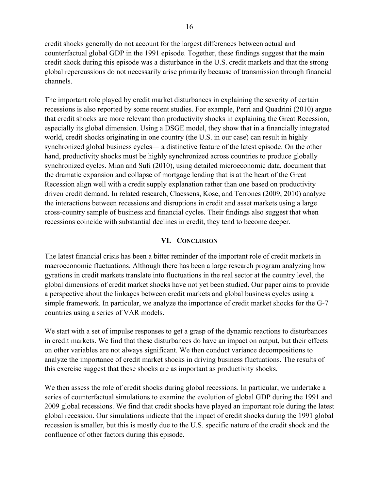credit shocks generally do not account for the largest differences between actual and counterfactual global GDP in the 1991 episode. Together, these findings suggest that the main credit shock during this episode was a disturbance in the U.S. credit markets and that the strong global repercussions do not necessarily arise primarily because of transmission through financial channels.

The important role played by credit market disturbances in explaining the severity of certain recessions is also reported by some recent studies. For example, Perri and Quadrini (2010) argue that credit shocks are more relevant than productivity shocks in explaining the Great Recession, especially its global dimension. Using a DSGE model, they show that in a financially integrated world, credit shocks originating in one country (the U.S. in our case) can result in highly synchronized global business cycles― a distinctive feature of the latest episode. On the other hand, productivity shocks must be highly synchronized across countries to produce globally synchronized cycles. Mian and Sufi (2010), using detailed microeconomic data, document that the dramatic expansion and collapse of mortgage lending that is at the heart of the Great Recession align well with a credit supply explanation rather than one based on productivity driven credit demand. In related research, Claessens, Kose, and Terrones (2009, 2010) analyze the interactions between recessions and disruptions in credit and asset markets using a large cross-country sample of business and financial cycles. Their findings also suggest that when recessions coincide with substantial declines in credit, they tend to become deeper.

## **VI. CONCLUSION**

The latest financial crisis has been a bitter reminder of the important role of credit markets in macroeconomic fluctuations. Although there has been a large research program analyzing how gyrations in credit markets translate into fluctuations in the real sector at the country level, the global dimensions of credit market shocks have not yet been studied. Our paper aims to provide a perspective about the linkages between credit markets and global business cycles using a simple framework. In particular, we analyze the importance of credit market shocks for the G-7 countries using a series of VAR models.

We start with a set of impulse responses to get a grasp of the dynamic reactions to disturbances in credit markets. We find that these disturbances do have an impact on output, but their effects on other variables are not always significant. We then conduct variance decompositions to analyze the importance of credit market shocks in driving business fluctuations. The results of this exercise suggest that these shocks are as important as productivity shocks.

We then assess the role of credit shocks during global recessions. In particular, we undertake a series of counterfactual simulations to examine the evolution of global GDP during the 1991 and 2009 global recessions. We find that credit shocks have played an important role during the latest global recession. Our simulations indicate that the impact of credit shocks during the 1991 global recession is smaller, but this is mostly due to the U.S. specific nature of the credit shock and the confluence of other factors during this episode.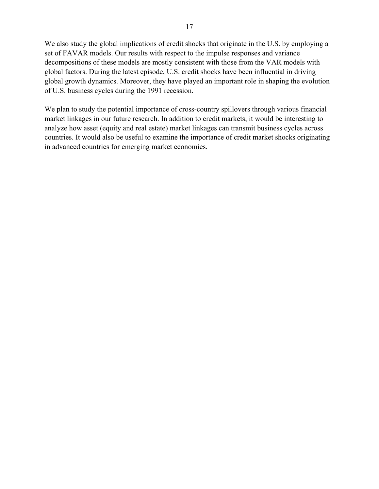We also study the global implications of credit shocks that originate in the U.S. by employing a set of FAVAR models. Our results with respect to the impulse responses and variance decompositions of these models are mostly consistent with those from the VAR models with global factors. During the latest episode, U.S. credit shocks have been influential in driving global growth dynamics. Moreover, they have played an important role in shaping the evolution of U.S. business cycles during the 1991 recession.

We plan to study the potential importance of cross-country spillovers through various financial market linkages in our future research. In addition to credit markets, it would be interesting to analyze how asset (equity and real estate) market linkages can transmit business cycles across countries. It would also be useful to examine the importance of credit market shocks originating in advanced countries for emerging market economies.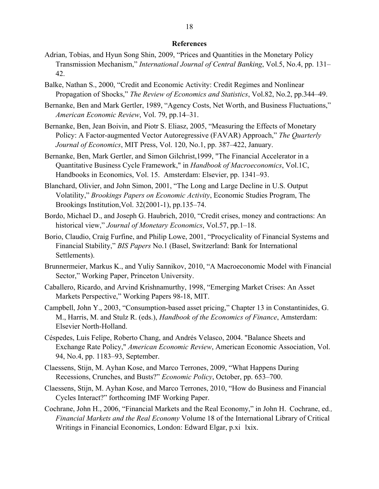#### **References**

- Adrian, Tobias, and Hyun Song Shin, 2009, "Prices and Quantities in the Monetary Policy Transmission Mechanism," *International Journal of Central Banking*, Vol.5, No.4, pp. 131– 42.
- Balke, Nathan S., 2000, "Credit and Economic Activity: Credit Regimes and Nonlinear Propagation of Shocks," *The Review of Economics and Statistics*, Vol.82, No.2, pp.344–49.
- Bernanke, Ben and Mark Gertler, 1989, "Agency Costs, Net Worth, and Business Fluctuations," *American Economic Review*, Vol. 79, pp.14–31.
- Bernanke, Ben, Jean Boivin, and Piotr S. Eliasz, 2005, "Measuring the Effects of Monetary Policy: A Factor-augmented Vector Autoregressive (FAVAR) Approach," *The Quarterly Journal of Economics*, MIT Press, Vol. 120, No.1, pp. 387–422, January.
- Bernanke, Ben, Mark Gertler, and Simon Gilchrist,1999, "The Financial Accelerator in a Quantitative Business Cycle Framework," in *Handbook of Macroeconomics*, Vol.1C, Handbooks in Economics, Vol. 15. Amsterdam: Elsevier, pp. 1341–93.
- Blanchard, Olivier, and John Simon, 2001, "The Long and Large Decline in U.S. Output Volatility," *Brookings Papers on Economic Activity*, Economic Studies Program, The Brookings Institution,Vol. 32(2001-1), pp.135–74.
- Bordo, Michael D., and Joseph G. Haubrich, 2010, "Credit crises, money and contractions: An historical view," *Journal of Monetary Economics*, Vol.57, pp.1–18.
- Borio, Claudio, Craig Furfine, and Philip Lowe, 2001, "Procyclicality of Financial Systems and Financial Stability," *BIS Papers* No.1 (Basel, Switzerland: Bank for International Settlements).
- Brunnermeier, Markus K., and Yuliy Sannikov, 2010, "A Macroeconomic Model with Financial Sector," Working Paper, Princeton University.
- Caballero, Ricardo, and Arvind Krishnamurthy, 1998, "Emerging Market Crises: An Asset Markets Perspective," Working Papers 98-18, MIT.
- Campbell, John Y., 2003, "Consumption-based asset pricing," Chapter 13 in Constantinides, G. M., Harris, M. and Stulz R. (eds.), *Handbook of the Economics of Finance*, Amsterdam: Elsevier North-Holland.
- Céspedes, Luis Felipe, Roberto Chang, and Andrés Velasco, 2004. "Balance Sheets and Exchange Rate Policy," *American Economic Review*, American Economic Association, Vol. 94, No.4, pp. 1183–93, September.
- Claessens, Stijn, M. Ayhan Kose, and Marco Terrones, 2009, "What Happens During Recessions, Crunches, and Busts?" *Economic Policy*, October, pp. 653–700.
- Claessens, Stijn, M. Ayhan Kose, and Marco Terrones, 2010, "How do Business and Financial Cycles Interact?" forthcoming IMF Working Paper.
- Cochrane, John H., 2006, "Financial Markets and the Real Economy," in John H. Cochrane, ed*., Financial Markets and the Real Economy* Volume 18 of the International Library of Critical Writings in Financial Economics, London: Edward Elgar, p.xi lxix.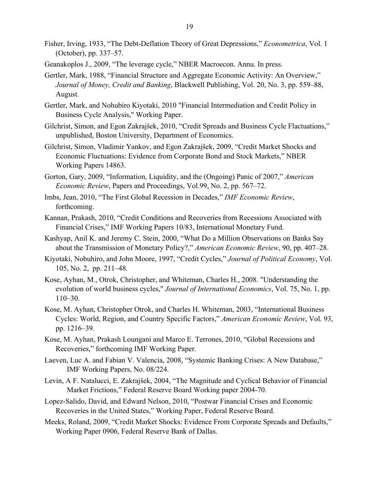- Fisher, Irving, 1933, "The Debt-Deflation Theory of Great Depressions," *Econometrica*, Vol. 1 (October), pp. 337–57.
- Geanakoplos J., 2009, "The leverage cycle," NBER Macroecon. Annu. In press.
- Gertler, Mark, 1988, "Financial Structure and Aggregate Economic Activity: An Overview," *Journal of Money, Credit and Banking*, Blackwell Publishing, Vol. 20, No. 3, pp. 559–88, August.
- Gertler, Mark, and Nohubiro Kiyotaki, 2010 "Financial Intermediation and Credit Policy in Business Cycle Analysis," Working Paper.
- Gilchrist, Simon, and Egon Zakrajšek, 2010, "Credit Spreads and Business Cycle Flactuations," unpublished, Boston University, Department of Economics.
- Gilchrist, Simon, Vladimir Yankov, and Egon Zakrajšek, 2009, "Credit Market Shocks and Economic Fluctuations: Evidence from Corporate Bond and Stock Markets," NBER Working Papers 14863.
- Gorton, Gary, 2009, "Information, Liquidity, and the (Ongoing) Panic of 2007," *American Economic Review*, Papers and Proceedings, Vol.99, No. 2, pp. 567–72.
- Imbs, Jean, 2010, "The First Global Recession in Decades," *IMF Economic Review*, forthcoming.
- Kannan, Prakash, 2010, "Credit Conditions and Recoveries from Recessions Associated with Financial Crises," IMF Working Papers 10/83, International Monetary Fund.
- Kashyap, Anil K. and Jeremy C. Stein, 2000, "What Do a Million Observations on Banks Say about the Transmission of Monetary Policy?," *American Economic Review*, 90, pp. 407–28.
- Kiyotaki, Nobuhiro, and John Moore, 1997, "Credit Cycles," *Journal of Political Economy*, Vol. 105, No. 2, pp. 211–48.
- Kose, Ayhan, M., Otrok, Christopher, and Whiteman, Charles H., 2008. "Understanding the evolution of world business cycles," *Journal of International Economics*, Vol. 75, No. 1, pp. 110–30.
- Kose, M. Ayhan, Christopher Otrok, and Charles H. Whiteman, 2003, "International Business Cycles: World, Region, and Country Specific Factors," *American Economic Review*, Vol. 93, pp. 1216–39.
- Kose, M. Ayhan, Prakash Loungani and Marco E. Terrones, 2010, "Global Recessions and Recoveries," forthcoming IMF Working Paper.
- Laeven, Luc A. and Fabian V. Valencia, 2008, "Systemic Banking Crises: A New Database," IMF Working Papers, No. 08/224.
- Levin, A F. Natalucci, E. Zakrajšek, 2004, "The Magnitude and Cyclical Behavior of Financial Market Frictions," Federal Reserve Board Working paper 2004-70.
- Lopez-Salido, David, and Edward Nelson, 2010, "Postwar Financial Crises and Economic Recoveries in the United States," Working Paper, Federal Reserve Board.
- Meeks, Roland, 2009, "Credit Market Shocks: Evidence From Corporate Spreads and Defaults," Working Paper 0906, Federal Reserve Bank of Dallas.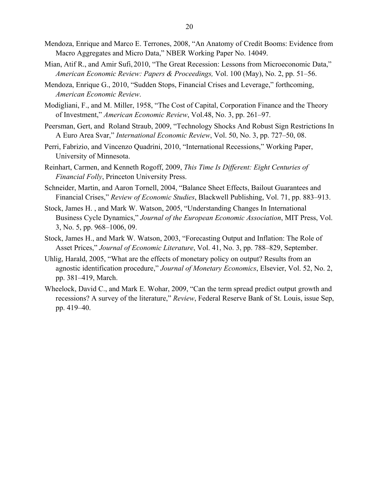- Mendoza, Enrique and Marco E. Terrones, 2008, "An Anatomy of Credit Booms: Evidence from Macro Aggregates and Micro Data," NBER Working Paper No. 14049.
- Mian, Atif R., and Amir Sufi, 2010, "The Great Recession: Lessons from Microeconomic Data," *American Economic Review: Papers & Proceedings,* Vol. 100 (May), No. 2, pp. 51–56.
- Mendoza, Enrique G., 2010, "Sudden Stops, Financial Crises and Leverage," forthcoming, *American Economic Review*.
- Modigliani, F., and M. Miller, 1958, "The Cost of Capital, Corporation Finance and the Theory of Investment," *American Economic Review*, Vol.48, No. 3, pp. 261–97.
- Peersman, Gert, and Roland Straub, 2009, "Technology Shocks And Robust Sign Restrictions In A Euro Area Svar," *International Economic Review*, Vol. 50, No. 3, pp. 727–50, 08.
- Perri, Fabrizio, and Vincenzo Quadrini, 2010, "International Recessions," Working Paper, University of Minnesota.
- Reinhart, Carmen, and Kenneth Rogoff, 2009, *This Time Is Different: Eight Centuries of Financial Folly*, Princeton University Press.
- Schneider, Martin, and Aaron Tornell, 2004, "Balance Sheet Effects, Bailout Guarantees and Financial Crises," *Review of Economic Studies*, Blackwell Publishing, Vol. 71, pp. 883–913.
- Stock, James H. , and Mark W. Watson, 2005, "Understanding Changes In International Business Cycle Dynamics," *Journal of the European Economic Association*, MIT Press, Vol. 3, No. 5, pp. 968–1006, 09.
- Stock, James H., and Mark W. Watson, 2003, "Forecasting Output and Inflation: The Role of Asset Prices," *Journal of Economic Literature*, Vol. 41, No. 3, pp. 788–829, September.
- Uhlig, Harald, 2005, "What are the effects of monetary policy on output? Results from an agnostic identification procedure," *Journal of Monetary Economics*, Elsevier, Vol. 52, No. 2, pp. 381–419, March.
- Wheelock, David C., and Mark E. Wohar, 2009, "Can the term spread predict output growth and recessions? A survey of the literature," *Review*, Federal Reserve Bank of St. Louis, issue Sep, pp. 419–40.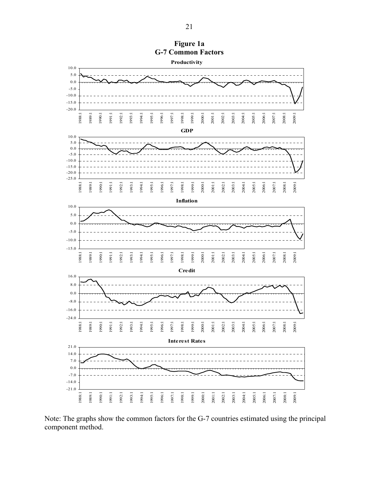

Note: The graphs show the common factors for the G-7 countries estimated using the principal component method.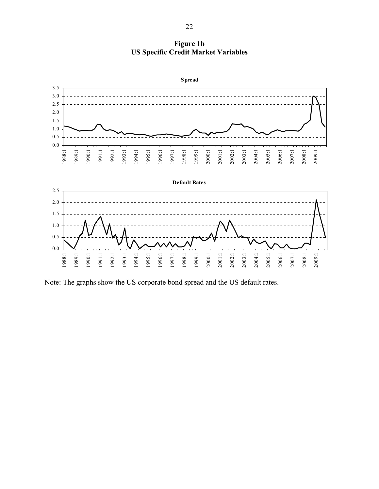**Figure 1b US Specific Credit Market Variables** 



Note: The graphs show the US corporate bond spread and the US default rates.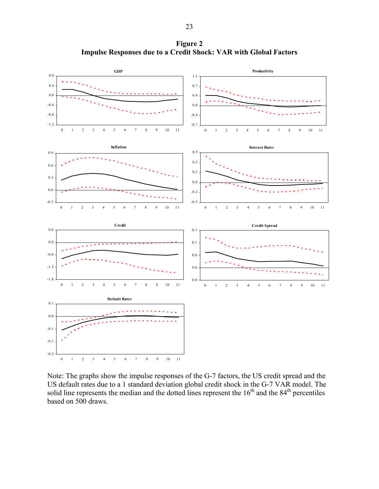**Figure 2 Impulse Responses due to a Credit Shock: VAR with Global Factors** 



Note: The graphs show the impulse responses of the G-7 factors, the US credit spread and the US default rates due to a 1 standard deviation global credit shock in the G-7 VAR model. The solid line represents the median and the dotted lines represent the  $16<sup>th</sup>$  and the  $84<sup>th</sup>$  percentiles based on 500 draws.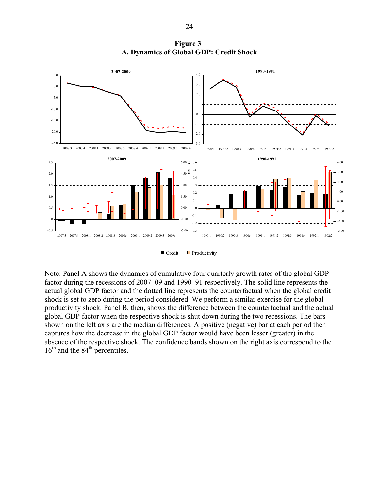

**Figure 3 A. Dynamics of Global GDP: Credit Shock** 

 $\Box$  Credit  $\Box$  Productivity

Note: Panel A shows the dynamics of cumulative four quarterly growth rates of the global GDP factor during the recessions of 2007–09 and 1990–91 respectively. The solid line represents the actual global GDP factor and the dotted line represents the counterfactual when the global credit shock is set to zero during the period considered. We perform a similar exercise for the global productivity shock. Panel B, then, shows the difference between the counterfactual and the actual global GDP factor when the respective shock is shut down during the two recessions. The bars shown on the left axis are the median differences. A positive (negative) bar at each period then captures how the decrease in the global GDP factor would have been lesser (greater) in the absence of the respective shock. The confidence bands shown on the right axis correspond to the  $16<sup>th</sup>$  and the  $84<sup>th</sup>$  percentiles.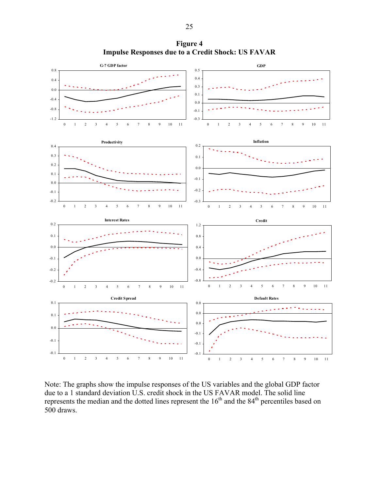**Figure 4 Impulse Responses due to a Credit Shock: US FAVAR**



Note: The graphs show the impulse responses of the US variables and the global GDP factor due to a 1 standard deviation U.S. credit shock in the US FAVAR model. The solid line represents the median and the dotted lines represent the 16<sup>th</sup> and the 84<sup>th</sup> percentiles based on 500 draws.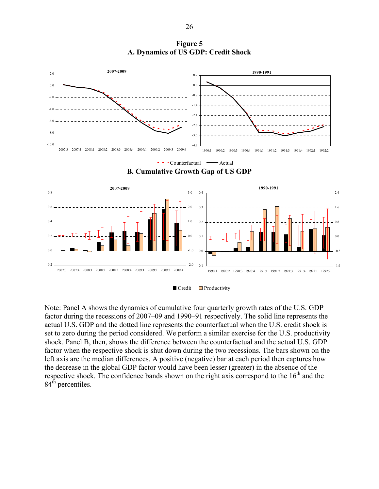**Figure 5 A. Dynamics of US GDP: Credit Shock** 



Note: Panel A shows the dynamics of cumulative four quarterly growth rates of the U.S. GDP factor during the recessions of 2007–09 and 1990–91 respectively. The solid line represents the actual U.S. GDP and the dotted line represents the counterfactual when the U.S. credit shock is set to zero during the period considered. We perform a similar exercise for the U.S. productivity shock. Panel B, then, shows the difference between the counterfactual and the actual U.S. GDP factor when the respective shock is shut down during the two recessions. The bars shown on the left axis are the median differences. A positive (negative) bar at each period then captures how the decrease in the global GDP factor would have been lesser (greater) in the absence of the respective shock. The confidence bands shown on the right axis correspond to the  $16<sup>th</sup>$  and the 84<sup>th</sup> percentiles.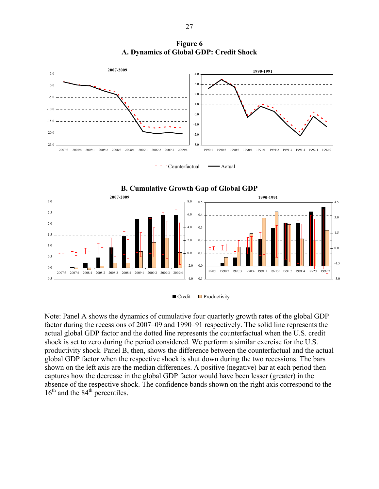**Figure 6 A. Dynamics of Global GDP: Credit Shock** 









Note: Panel A shows the dynamics of cumulative four quarterly growth rates of the global GDP factor during the recessions of 2007–09 and 1990–91 respectively. The solid line represents the actual global GDP factor and the dotted line represents the counterfactual when the U.S. credit shock is set to zero during the period considered. We perform a similar exercise for the U.S. productivity shock. Panel B, then, shows the difference between the counterfactual and the actual global GDP factor when the respective shock is shut down during the two recessions. The bars shown on the left axis are the median differences. A positive (negative) bar at each period then captures how the decrease in the global GDP factor would have been lesser (greater) in the absence of the respective shock. The confidence bands shown on the right axis correspond to the  $16<sup>th</sup>$  and the 84<sup>th</sup> percentiles.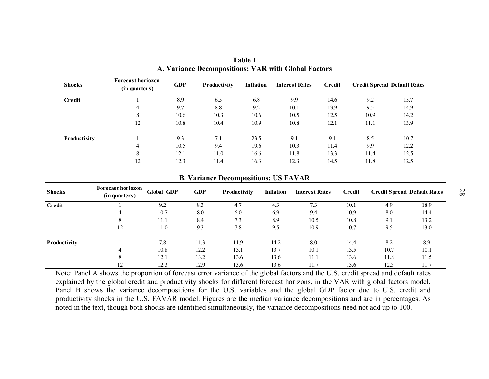| <b>Shocks</b> | <b>Forecast horiozon</b><br>(in quarters) | <b>GDP</b> | Productivity | Inflation | <b>Interest Rates</b> | Credit | <b>Credit Spread Default Rates</b> |      |
|---------------|-------------------------------------------|------------|--------------|-----------|-----------------------|--------|------------------------------------|------|
| Credit        |                                           | 8.9        | 6.5          | 6.8       | 9.9                   | 14.6   | 9.2                                | 15.7 |
|               | $\overline{4}$                            | 9.7        | 8.8          | 9.2       | 10.1                  | 13.9   | 9.5                                | 14.9 |
|               | 8                                         | 10.6       | 10.3         | 10.6      | 10.5                  | 12.5   | 10.9                               | 14.2 |
|               | 12                                        | 10.8       | 10.4         | 10.9      | 10.8                  | 12.1   | 11.1                               | 13.9 |
| Productivity  |                                           | 9.3        | 7.1          | 23.5      | 9.1                   | 9.1    | 8.5                                | 10.7 |
|               | $\overline{4}$                            | 10.5       | 9.4          | 19.6      | 10.3                  | 11.4   | 9.9                                | 12.2 |
|               | 8                                         | 12.1       | 11.0         | 16.6      | 11.8                  | 13.3   | 11.4                               | 12.5 |
|               | 12                                        | 12.3       | 11.4         | 16.3      | 12.3                  | 14.5   | 11.8                               | 12.5 |

**Table 1 A. Variance Decompositions: VAR with Global Factors** 

#### **B. Variance Decompositions: US FAVAR**

| <b>Shocks</b> | <b>Forecast horiozon</b><br>(in quarters) | <b>Global GDP</b> | <b>GDP</b> | Productivity | <b>Inflation</b> | <b>Interest Rates</b> | Credit | <b>Credit Spread Default Rates</b> |      |
|---------------|-------------------------------------------|-------------------|------------|--------------|------------------|-----------------------|--------|------------------------------------|------|
| Credit        |                                           | 9.2               | 8.3        | 4.7          | 4.3              | 7.3                   | 10.1   | 4.9                                | 18.9 |
|               | 4                                         | 10.7              | 8.0        | 6.0          | 6.9              | 9.4                   | 10.9   | 8.0                                | 14.4 |
|               | 8                                         | 11.1              | 8.4        | 7.3          | 8.9              | 10.5                  | 10.8   | 9.1                                | 13.2 |
|               | 12                                        | 11.0              | 9.3        | 7.8          | 9.5              | 10.9                  | 10.7   | 9.5                                | 13.0 |
| Productivity  |                                           | 7.8               | 11.3       | 11.9         | 14.2             | 8.0                   | 14.4   | 8.2                                | 8.9  |
|               | 4                                         | 10.8              | 12.2       | 13.1         | 13.7             | 10.1                  | 13.5   | 10.7                               | 10.1 |
|               | 8                                         | 12.1              | 13.2       | 13.6         | 13.6             | 11.1                  | 13.6   | 11.8                               | 11.5 |
|               | 12                                        | 12.3              | 12.9       | 13.6         | 13.6             | 11.7                  | 13.6   | 12.3                               | 11.7 |

Note: Panel A shows the proportion of forecast error variance of the global factors and the U.S. credit spread and default rates explained by the global credit and productivity shocks for different forecast horizons, in the VAR with global factors model. Panel B shows the variance decompositions for the U.S. variables and the global GDP factor due to U.S. credit and productivity shocks in the U.S. FAVAR model. Figures are the median variance decompositions and are in percentages. As noted in the text, though both shocks are identified simultaneously, the variance decompositions need not add up to 100.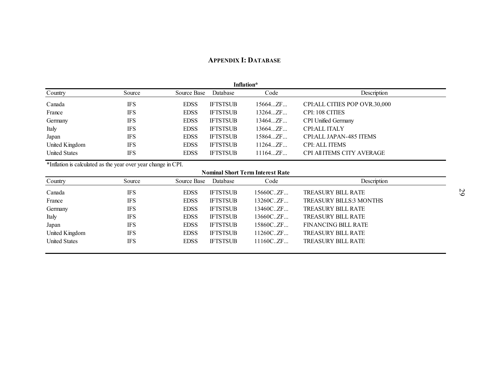#### **APPENDIX I: DATABASE**

| Inflation*           |            |             |                 |            |                                   |  |  |
|----------------------|------------|-------------|-----------------|------------|-----------------------------------|--|--|
| Country              | Source     | Source Base | Database        | Code       | Description                       |  |  |
| Canada               | <b>IFS</b> | <b>EDSS</b> | <b>IFTSTSUB</b> | $15664$ ZF | CPI:ALL CITIES POP OVR.30,000     |  |  |
| France               | <b>IFS</b> | <b>EDSS</b> | <b>IFTSTSUB</b> | 13264ZF    | <b>CPI: 108 CITIES</b>            |  |  |
| Germany              | <b>IFS</b> | <b>EDSS</b> | <b>IFTSTSUB</b> | 13464ZF    | <b>CPI Unified Germany</b>        |  |  |
| Italy                | <b>IFS</b> | <b>EDSS</b> | <b>IFTSTSUB</b> | 13664ZF    | <b>CPI:ALL ITALY</b>              |  |  |
| Japan                | <b>IFS</b> | <b>EDSS</b> | <b>IFTSTSUB</b> | 15864ZF    | CPI: ALL JAPAN-485 ITEMS          |  |  |
| United Kingdom       | <b>IFS</b> | <b>EDSS</b> | <b>IFTSTSUB</b> | 11264ZF    | <b>CPI: ALL ITEMS</b>             |  |  |
| <b>United States</b> | IFS        | <b>EDSS</b> | <b>IFTSTSUB</b> | 11164ZF    | <b>CPI All ITEMS CITY AVERAGE</b> |  |  |

\*Inflation is calculated as the year over year change in CPI.

#### **Nominal Short Term Interest Rate**

| Country              | Source     | Source Base | Database        | Code        | Description                    |
|----------------------|------------|-------------|-----------------|-------------|--------------------------------|
| Canada               | <b>IFS</b> | <b>EDSS</b> | <b>IFTSTSUB</b> | 15660C. ZF. | <b>TREASURY BILL RATE</b>      |
| France               | <b>IFS</b> | <b>EDSS</b> | <b>IFTSTSUB</b> | 13260CZF    | <b>TREASURY BILLS:3 MONTHS</b> |
| Germany              | <b>IFS</b> | <b>EDSS</b> | <b>IFTSTSUB</b> | 13460CZF    | <b>TREASURY BILL RATE</b>      |
| Italy                | <b>IFS</b> | <b>EDSS</b> | <b>IFTSTSUB</b> | 13660C. ZF. | <b>TREASURY BILL RATE</b>      |
| Japan                | <b>IFS</b> | <b>EDSS</b> | <b>IFTSTSUB</b> | 15860CZF    | <b>FINANCING BILL RATE</b>     |
| United Kingdom       | <b>IFS</b> | <b>EDSS</b> | <b>IFTSTSUB</b> | 11260C. ZF. | <b>TREASURY BILL RATE</b>      |
| <b>United States</b> | <b>IFS</b> | <b>EDSS</b> | <b>IFTSTSUB</b> | 11160C. ZF. | <b>TREASURY BILL RATE</b>      |
|                      |            |             |                 |             |                                |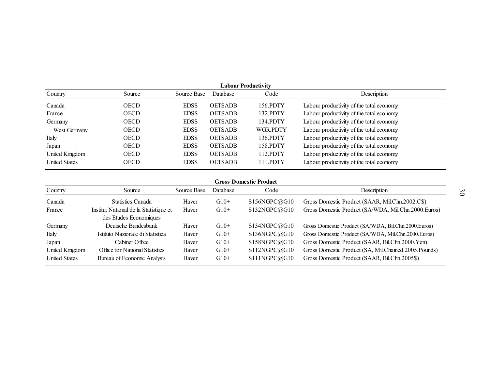| Labour Productivitv  |             |             |                |                 |                                          |  |  |
|----------------------|-------------|-------------|----------------|-----------------|------------------------------------------|--|--|
| Country              | Source      | Source Base | Database       | Code            | Description                              |  |  |
| Canada               | <b>OECD</b> | <b>EDSS</b> | <b>OETSADB</b> | 156.PDTY        | Labour productivity of the total economy |  |  |
| France               | <b>OECD</b> | <b>EDSS</b> | <b>OETSADB</b> | 132.PDTY        | Labour productivity of the total economy |  |  |
| Germany              | <b>OECD</b> | <b>EDSS</b> | <b>OETSADB</b> | 134.PDTY        | Labour productivity of the total economy |  |  |
| West Germany         | <b>OECD</b> | <b>EDSS</b> | <b>OETSADB</b> | <b>WGR.PDTY</b> | Labour productivity of the total economy |  |  |
| Italy                | <b>OECD</b> | <b>EDSS</b> | <b>OETSADB</b> | 136.PDTY        | Labour productivity of the total economy |  |  |
| Japan                | <b>OECD</b> | <b>EDSS</b> | <b>OETSADB</b> | 158.PDTY        | Labour productivity of the total economy |  |  |
| United Kingdom       | <b>OECD</b> | <b>EDSS</b> | <b>OETSADB</b> | 112.PDTY        | Labour productivity of the total economy |  |  |
| <b>United States</b> | <b>OECD</b> | <b>EDSS</b> | <b>OETSADB</b> | 111.PDTY        | Labour productivity of the total economy |  |  |

#### **Gross Domestic Product**

| Country              | Source                                                           | Source Base | Database | Code         | Description                                          |
|----------------------|------------------------------------------------------------------|-------------|----------|--------------|------------------------------------------------------|
| Canada               | <b>Statistics Canada</b>                                         | Haver       | $G10+$   | S156NGPC@G10 | Gross Domestic Product (SAAR, Mil.Chn.2002.C\$)      |
| France               | Institut National de la Statistique et<br>des Etudes Economiques | Haver       | $G10+$   | S132NGPC@G10 | Gross Domestic Product (SA/WDA, Mil.Chn.2000.Euros)  |
| Germany              | Deutsche Bundesbank                                              | Haver       | $G10+$   | S134NGPC@G10 | Gross Domestic Product (SA/WDA, Bil.Chn.2000.Euros)  |
| Italy                | Istituto Nazionale di Statistica                                 | Haver       | $G10+$   | S136NGPC@G10 | Gross Domestic Product (SA/WDA, Mil.Chn.2000.Euros)  |
| Japan                | Cabinet Office                                                   | Haver       | $G10+$   | S158NGPC@G10 | Gross Domestic Product (SAAR, Bil.Chn.2000.Yen)      |
| United Kingdom       | Office for National Statistics                                   | Haver       | $G10+$   | S112NGPC@G10 | Gross Domestic Product (SA, Mil.Chained.2005.Pounds) |
| <b>United States</b> | Bureau of Economic Analysis                                      | Haver       | $G10+$   | S111NGPC@G10 | Gross Domestic Product (SAAR, Bil.Chn.2005\$)        |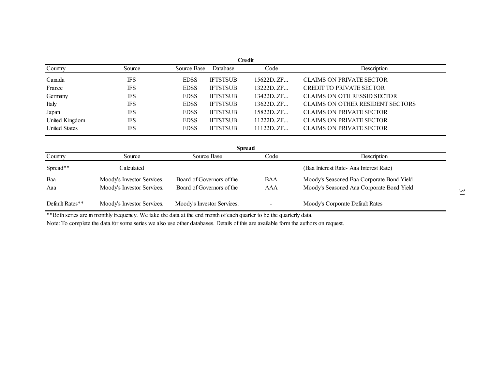|                      |            |             |                 | Credit     |                                         |
|----------------------|------------|-------------|-----------------|------------|-----------------------------------------|
| Country              | Source     | Source Base | Database        | Code       | Description                             |
| Canada               | <b>IFS</b> | <b>EDSS</b> | <b>IFTSTSUB</b> | 15622DZF   | <b>CLAIMS ON PRIVATE SECTOR</b>         |
| France               | <b>IFS</b> | <b>EDSS</b> | <b>IFTSTSUB</b> | 13222D.ZF  | <b>CREDIT TO PRIVATE SECTOR</b>         |
| Germany              | <b>IFS</b> | <b>EDSS</b> | <b>IFTSTSUB</b> | 13422D. ZF | CLAIMS ON OTH RESSID SECTOR             |
| Italy                | <b>IFS</b> | <b>EDSS</b> | <b>IFTSTSUB</b> | 13622DZF   | <b>CLAIMS ON OTHER RESIDENT SECTORS</b> |
| Japan                | <b>IFS</b> | <b>EDSS</b> | <b>IFTSTSUB</b> | 15822DZF   | <b>CLAIMS ON PRIVATE SECTOR</b>         |
| United Kingdom       | <b>IFS</b> | <b>EDSS</b> | <b>IFTSTSUB</b> | 11222D. ZF | <b>CLAIMS ON PRIVATE SECTOR</b>         |
| <b>United States</b> | <b>IFS</b> | <b>EDSS</b> | <b>IFTSTSUB</b> | 11122D. ZF | <b>CLAIMS ON PRIVATE SECTOR</b>         |

| <b>Spread</b>   |                            |                            |            |                                           |  |  |  |  |
|-----------------|----------------------------|----------------------------|------------|-------------------------------------------|--|--|--|--|
| Country         | Source                     | Source Base                | Code       | Description                               |  |  |  |  |
| Spread**        | Calculated                 |                            |            | (Baa Interest Rate-Aaa Interest Rate)     |  |  |  |  |
| Baa             | Moody's Investor Services. | Board of Governors of the  | <b>BAA</b> | Moody's Seasoned Baa Corporate Bond Yield |  |  |  |  |
| Aaa             | Moody's Investor Services. | Board of Governors of the  | AAA        | Moody's Seasoned Aaa Corporate Bond Yield |  |  |  |  |
| Default Rates** | Moody's Investor Services. | Moody's Investor Services. |            | Moody's Corporate Default Rates           |  |  |  |  |

\*\*Both series are in monthly frequency. We take the data at the end month of each quarter to be the quarterly data.

Note: To complete the data for some series we also use other databases. Details of this are available form the authors on request.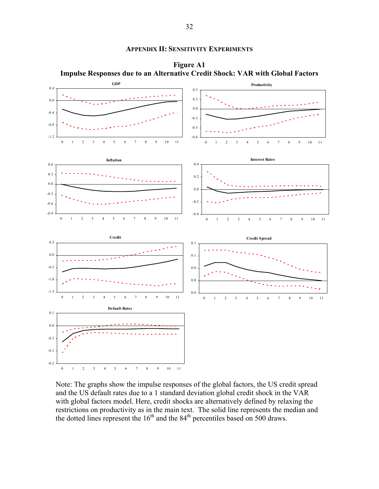#### **APPENDIX II: SENSITIVITY EXPERIMENTS**



**Figure A1 Impulse Responses due to an Alternative Credit Shock: VAR with Global Factors** 

Note: The graphs show the impulse responses of the global factors, the US credit spread and the US default rates due to a 1 standard deviation global credit shock in the VAR with global factors model. Here, credit shocks are alternatively defined by relaxing the restrictions on productivity as in the main text. The solid line represents the median and the dotted lines represent the  $16<sup>th</sup>$  and the  $84<sup>th</sup>$  percentiles based on 500 draws.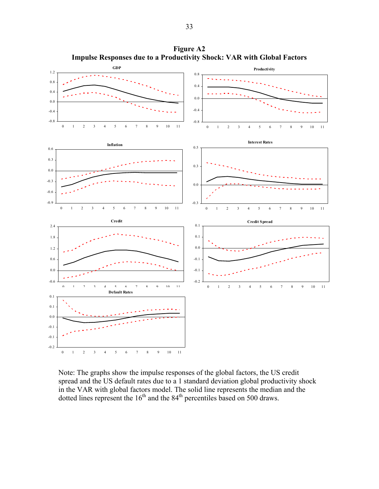

**Figure A2 Impulse Responses due to a Productivity Shock: VAR with Global Factors** 

Note: The graphs show the impulse responses of the global factors, the US credit spread and the US default rates due to a 1 standard deviation global productivity shock in the VAR with global factors model. The solid line represents the median and the dotted lines represent the  $16<sup>th</sup>$  and the  $84<sup>th</sup>$  percentiles based on 500 draws.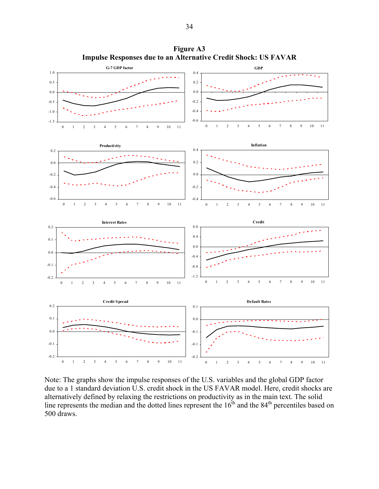

**Figure A3 Impulse Responses due to an Alternative Credit Shock: US FAVAR** 

Note: The graphs show the impulse responses of the U.S. variables and the global GDP factor due to a 1 standard deviation U.S. credit shock in the US FAVAR model. Here, credit shocks are alternatively defined by relaxing the restrictions on productivity as in the main text. The solid line represents the median and the dotted lines represent the  $16<sup>th</sup>$  and the  $84<sup>th</sup>$  percentiles based on 500 draws.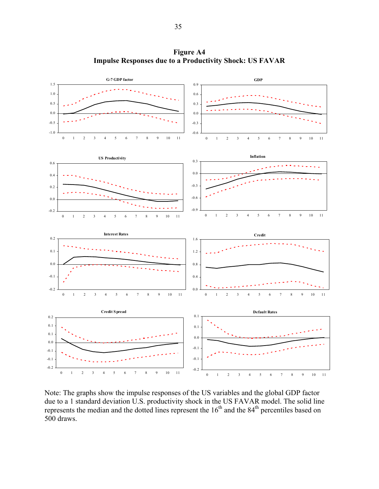

**Figure A4 Impulse Responses due to a Productivity Shock: US FAVAR** 

Note: The graphs show the impulse responses of the US variables and the global GDP factor due to a 1 standard deviation U.S. productivity shock in the US FAVAR model. The solid line represents the median and the dotted lines represent the  $16<sup>th</sup>$  and the  $84<sup>th</sup>$  percentiles based on 500 draws.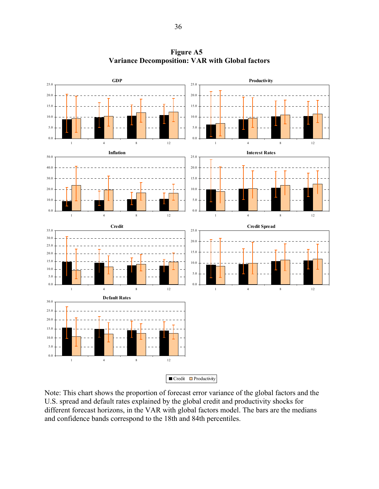

**Figure A5 Variance Decomposition: VAR with Global factors** 

Note: This chart shows the proportion of forecast error variance of the global factors and the U.S. spread and default rates explained by the global credit and productivity shocks for different forecast horizons, in the VAR with global factors model. The bars are the medians and confidence bands correspond to the 18th and 84th percentiles.